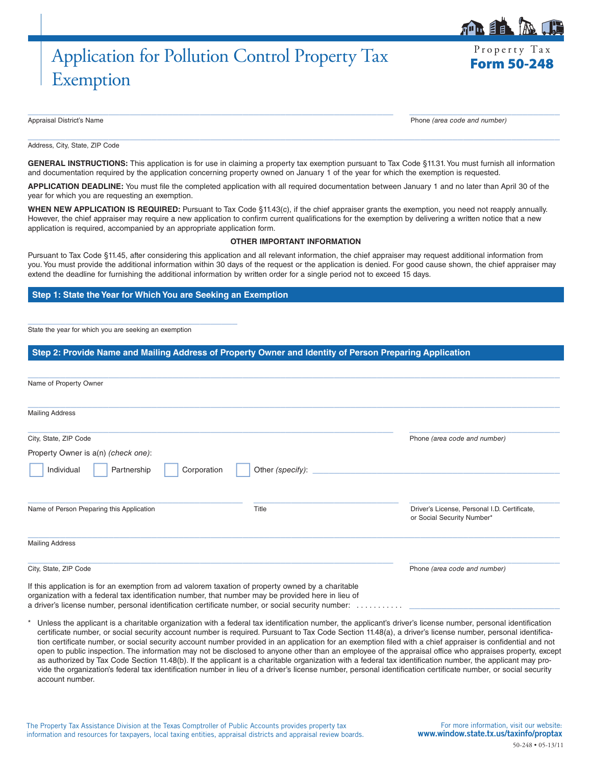# Application for Pollution Control Property Tax Exemption

Appraisal District's Name Phone *(area code and number)*

 $\_$  , and the set of the set of the set of the set of the set of the set of the set of the set of the set of the set of the set of the set of the set of the set of the set of the set of the set of the set of the set of th Address, City, State, ZIP Code

GENERAL INSTRUCTIONS: This application is for use in claiming a property tax exemption pursuant to Tax Code §11.31. You must furnish all information and documentation required by the application concerning property owned on January 1 of the year for which the exemption is requested.

 $\_$  ,  $\_$  ,  $\_$  ,  $\_$  ,  $\_$  ,  $\_$  ,  $\_$  ,  $\_$  ,  $\_$  ,  $\_$  ,  $\_$  ,  $\_$  ,  $\_$  ,  $\_$  ,  $\_$  ,  $\_$  ,  $\_$  ,  $\_$  ,  $\_$  ,  $\_$  ,  $\_$  ,  $\_$  ,  $\_$  ,  $\_$  ,  $\_$  ,  $\_$  ,  $\_$  ,  $\_$  ,  $\_$  ,  $\_$  ,  $\_$  ,  $\_$  ,  $\_$  ,  $\_$  ,  $\_$  ,  $\_$  ,  $\_$  ,

**APPLICATION DEADLINE:** You must file the completed application with all required documentation between January 1 and no later than April 30 of the year for which you are requesting an exemption.

**WHEN NEW APPLICATION IS REQUIRED:** Pursuant to Tax Code §11.43(c), if the chief appraiser grants the exemption, you need not reapply annually. However, the chief appraiser may require a new application to confirm current qualifications for the exemption by delivering a written notice that a new application is required, accompanied by an appropriate application form.

#### **OTHER IMPORTANT INFORMATION**

Pursuant to Tax Code §11.45, after considering this application and all relevant information, the chief appraiser may request additional information from you. You must provide the additional information within 30 days of the request or the application is denied. For good cause shown, the chief appraiser may extend the deadline for furnishing the additional information by written order for a single period not to exceed 15 days.

## **Step 1: State the Year for Which You are Seeking an Exemption**

State the year for which you are seeking an exemption

\_\_\_\_\_\_\_\_\_\_\_\_\_\_\_\_\_\_\_\_\_\_\_\_\_\_\_\_\_\_\_\_\_\_\_\_\_\_\_

## **Step 2: Provide Name and Mailing Address of Property Owner and Identity of Person Preparing Application**

| Name of Property Owner                                                                                                                                                                                   |                                 |                                                                            |
|----------------------------------------------------------------------------------------------------------------------------------------------------------------------------------------------------------|---------------------------------|----------------------------------------------------------------------------|
| <b>Mailing Address</b>                                                                                                                                                                                   |                                 |                                                                            |
| City, State, ZIP Code                                                                                                                                                                                    |                                 | Phone (area code and number)                                               |
| Property Owner is a(n) (check one):                                                                                                                                                                      |                                 |                                                                            |
| Individual<br>Partnership                                                                                                                                                                                | Other (specify):<br>Corporation |                                                                            |
| Name of Person Preparing this Application                                                                                                                                                                | Title                           | Driver's License, Personal I.D. Certificate,<br>or Social Security Number* |
| <b>Mailing Address</b>                                                                                                                                                                                   |                                 |                                                                            |
| City, State, ZIP Code                                                                                                                                                                                    |                                 | Phone (area code and number)                                               |
| If this application is for an exemption from ad valorem taxation of property owned by a charitable<br>organization with a federal tax identification number, that number may be provided here in lieu of |                                 |                                                                            |

a driver's license number, personal identification certificate number, or social security number: . . . . . . .

Unless the applicant is a charitable organization with a federal tax identification number, the applicant's driver's license number, personal identification certificate number, or social security account number is required. Pursuant to Tax Code Section 11.48(a), a driver's license number, personal identification certificate number, or social security account number provided in an application for an exemption filed with a chief appraiser is confidential and not open to public inspection. The information may not be disclosed to anyone other than an employee of the appraisal office who appraises property, except as authorized by Tax Code Section 11.48(b). If the applicant is a charitable organization with a federal tax identification number, the applicant may provide the organization's federal tax identification number in lieu of a driver's license number, personal identification certificate number, or social security account number.